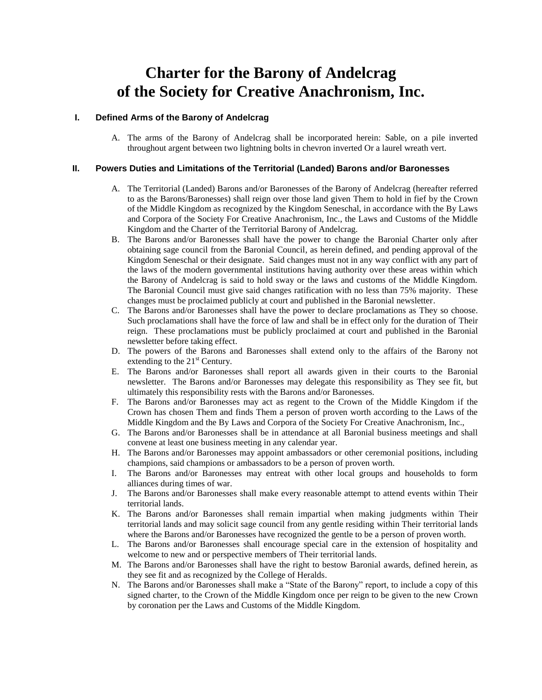# **Charter for the Barony of Andelcrag of the Society for Creative Anachronism, Inc.**

# **I. Defined Arms of the Barony of Andelcrag**

A. The arms of the Barony of Andelcrag shall be incorporated herein: Sable, on a pile inverted throughout argent between two lightning bolts in chevron inverted Or a laurel wreath vert.

## **II. Powers Duties and Limitations of the Territorial (Landed) Barons and/or Baronesses**

- A. The Territorial (Landed) Barons and/or Baronesses of the Barony of Andelcrag (hereafter referred to as the Barons/Baronesses) shall reign over those land given Them to hold in fief by the Crown of the Middle Kingdom as recognized by the Kingdom Seneschal, in accordance with the By Laws and Corpora of the Society For Creative Anachronism, Inc., the Laws and Customs of the Middle Kingdom and the Charter of the Territorial Barony of Andelcrag.
- B. The Barons and/or Baronesses shall have the power to change the Baronial Charter only after obtaining sage council from the Baronial Council, as herein defined, and pending approval of the Kingdom Seneschal or their designate. Said changes must not in any way conflict with any part of the laws of the modern governmental institutions having authority over these areas within which the Barony of Andelcrag is said to hold sway or the laws and customs of the Middle Kingdom. The Baronial Council must give said changes ratification with no less than 75% majority. These changes must be proclaimed publicly at court and published in the Baronial newsletter.
- C. The Barons and/or Baronesses shall have the power to declare proclamations as They so choose. Such proclamations shall have the force of law and shall be in effect only for the duration of Their reign. These proclamations must be publicly proclaimed at court and published in the Baronial newsletter before taking effect.
- D. The powers of the Barons and Baronesses shall extend only to the affairs of the Barony not extending to the  $21<sup>st</sup>$  Century.
- E. The Barons and/or Baronesses shall report all awards given in their courts to the Baronial newsletter. The Barons and/or Baronesses may delegate this responsibility as They see fit, but ultimately this responsibility rests with the Barons and/or Baronesses.
- F. The Barons and/or Baronesses may act as regent to the Crown of the Middle Kingdom if the Crown has chosen Them and finds Them a person of proven worth according to the Laws of the Middle Kingdom and the By Laws and Corpora of the Society For Creative Anachronism, Inc.,
- G. The Barons and/or Baronesses shall be in attendance at all Baronial business meetings and shall convene at least one business meeting in any calendar year.
- H. The Barons and/or Baronesses may appoint ambassadors or other ceremonial positions, including champions, said champions or ambassadors to be a person of proven worth.
- I. The Barons and/or Baronesses may entreat with other local groups and households to form alliances during times of war.
- J. The Barons and/or Baronesses shall make every reasonable attempt to attend events within Their territorial lands.
- K. The Barons and/or Baronesses shall remain impartial when making judgments within Their territorial lands and may solicit sage council from any gentle residing within Their territorial lands where the Barons and/or Baronesses have recognized the gentle to be a person of proven worth.
- L. The Barons and/or Baronesses shall encourage special care in the extension of hospitality and welcome to new and or perspective members of Their territorial lands.
- M. The Barons and/or Baronesses shall have the right to bestow Baronial awards, defined herein, as they see fit and as recognized by the College of Heralds.
- N. The Barons and/or Baronesses shall make a "State of the Barony" report, to include a copy of this signed charter, to the Crown of the Middle Kingdom once per reign to be given to the new Crown by coronation per the Laws and Customs of the Middle Kingdom.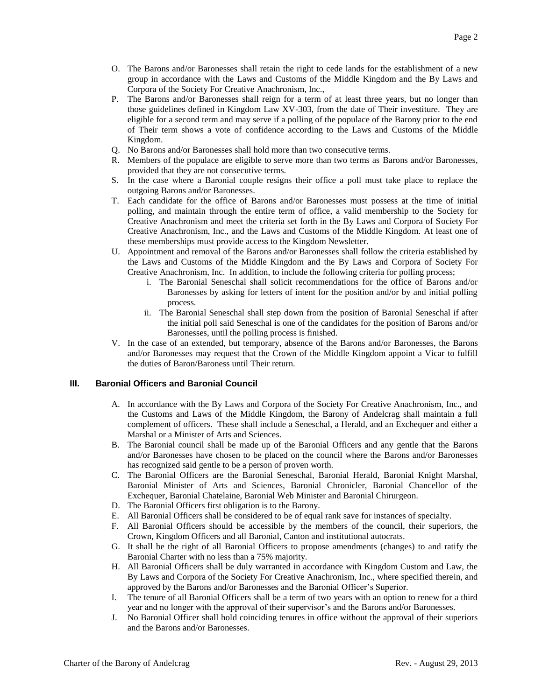- O. The Barons and/or Baronesses shall retain the right to cede lands for the establishment of a new group in accordance with the Laws and Customs of the Middle Kingdom and the By Laws and Corpora of the Society For Creative Anachronism, Inc.,
- P. The Barons and/or Baronesses shall reign for a term of at least three years, but no longer than those guidelines defined in Kingdom Law XV-303, from the date of Their investiture. They are eligible for a second term and may serve if a polling of the populace of the Barony prior to the end of Their term shows a vote of confidence according to the Laws and Customs of the Middle Kingdom.
- Q. No Barons and/or Baronesses shall hold more than two consecutive terms.
- R. Members of the populace are eligible to serve more than two terms as Barons and/or Baronesses, provided that they are not consecutive terms.
- S. In the case where a Baronial couple resigns their office a poll must take place to replace the outgoing Barons and/or Baronesses.
- T. Each candidate for the office of Barons and/or Baronesses must possess at the time of initial polling, and maintain through the entire term of office, a valid membership to the Society for Creative Anachronism and meet the criteria set forth in the By Laws and Corpora of Society For Creative Anachronism, Inc., and the Laws and Customs of the Middle Kingdom. At least one of these memberships must provide access to the Kingdom Newsletter.
- U. Appointment and removal of the Barons and/or Baronesses shall follow the criteria established by the Laws and Customs of the Middle Kingdom and the By Laws and Corpora of Society For Creative Anachronism, Inc. In addition, to include the following criteria for polling process;
	- i. The Baronial Seneschal shall solicit recommendations for the office of Barons and/or Baronesses by asking for letters of intent for the position and/or by and initial polling process.
	- ii. The Baronial Seneschal shall step down from the position of Baronial Seneschal if after the initial poll said Seneschal is one of the candidates for the position of Barons and/or Baronesses, until the polling process is finished.
- V. In the case of an extended, but temporary, absence of the Barons and/or Baronesses, the Barons and/or Baronesses may request that the Crown of the Middle Kingdom appoint a Vicar to fulfill the duties of Baron/Baroness until Their return.

# **III. Baronial Officers and Baronial Council**

- A. In accordance with the By Laws and Corpora of the Society For Creative Anachronism, Inc., and the Customs and Laws of the Middle Kingdom, the Barony of Andelcrag shall maintain a full complement of officers. These shall include a Seneschal, a Herald, and an Exchequer and either a Marshal or a Minister of Arts and Sciences.
- B. The Baronial council shall be made up of the Baronial Officers and any gentle that the Barons and/or Baronesses have chosen to be placed on the council where the Barons and/or Baronesses has recognized said gentle to be a person of proven worth.
- C. The Baronial Officers are the Baronial Seneschal, Baronial Herald, Baronial Knight Marshal, Baronial Minister of Arts and Sciences, Baronial Chronicler, Baronial Chancellor of the Exchequer, Baronial Chatelaine, Baronial Web Minister and Baronial Chirurgeon.
- D. The Baronial Officers first obligation is to the Barony.
- E. All Baronial Officers shall be considered to be of equal rank save for instances of specialty.
- F. All Baronial Officers should be accessible by the members of the council, their superiors, the Crown, Kingdom Officers and all Baronial, Canton and institutional autocrats.
- G. It shall be the right of all Baronial Officers to propose amendments (changes) to and ratify the Baronial Charter with no less than a 75% majority.
- H. All Baronial Officers shall be duly warranted in accordance with Kingdom Custom and Law, the By Laws and Corpora of the Society For Creative Anachronism, Inc., where specified therein, and approved by the Barons and/or Baronesses and the Baronial Officer's Superior.
- I. The tenure of all Baronial Officers shall be a term of two years with an option to renew for a third year and no longer with the approval of their supervisor's and the Barons and/or Baronesses.
- J. No Baronial Officer shall hold coinciding tenures in office without the approval of their superiors and the Barons and/or Baronesses.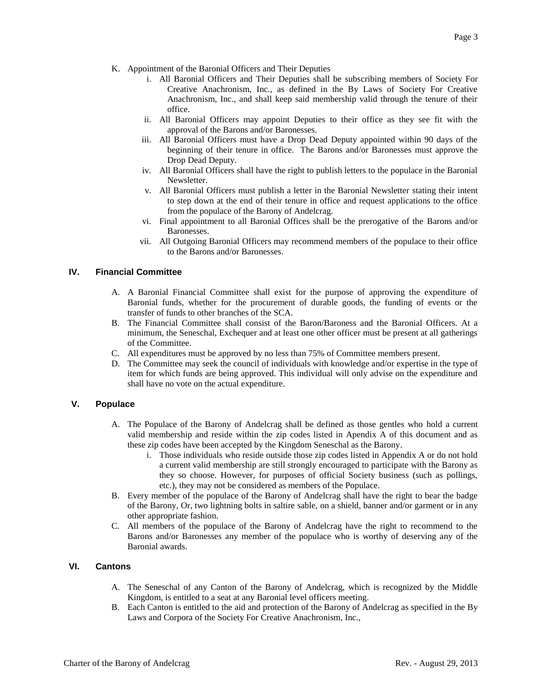- K. Appointment of the Baronial Officers and Their Deputies
	- i. All Baronial Officers and Their Deputies shall be subscribing members of Society For Creative Anachronism, Inc., as defined in the By Laws of Society For Creative Anachronism, Inc., and shall keep said membership valid through the tenure of their office.
	- ii. All Baronial Officers may appoint Deputies to their office as they see fit with the approval of the Barons and/or Baronesses.
	- iii. All Baronial Officers must have a Drop Dead Deputy appointed within 90 days of the beginning of their tenure in office. The Barons and/or Baronesses must approve the Drop Dead Deputy.
	- iv. All Baronial Officers shall have the right to publish letters to the populace in the Baronial Newsletter.
	- v. All Baronial Officers must publish a letter in the Baronial Newsletter stating their intent to step down at the end of their tenure in office and request applications to the office from the populace of the Barony of Andelcrag.
	- vi. Final appointment to all Baronial Offices shall be the prerogative of the Barons and/or Baronesses.
	- vii. All Outgoing Baronial Officers may recommend members of the populace to their office to the Barons and/or Baronesses.

# **IV. Financial Committee**

- A. A Baronial Financial Committee shall exist for the purpose of approving the expenditure of Baronial funds, whether for the procurement of durable goods, the funding of events or the transfer of funds to other branches of the SCA.
- B. The Financial Committee shall consist of the Baron/Baroness and the Baronial Officers. At a minimum, the Seneschal, Exchequer and at least one other officer must be present at all gatherings of the Committee.
- C. All expenditures must be approved by no less than 75% of Committee members present.
- D. The Committee may seek the council of individuals with knowledge and/or expertise in the type of item for which funds are being approved. This individual will only advise on the expenditure and shall have no vote on the actual expenditure.

## **V. Populace**

- A. The Populace of the Barony of Andelcrag shall be defined as those gentles who hold a current valid membership and reside within the zip codes listed in Apendix A of this document and as these zip codes have been accepted by the Kingdom Seneschal as the Barony.
	- i. Those individuals who reside outside those zip codes listed in Appendix A or do not hold a current valid membership are still strongly encouraged to participate with the Barony as they so choose. However, for purposes of official Society business (such as pollings, etc.), they may not be considered as members of the Populace.
- B. Every member of the populace of the Barony of Andelcrag shall have the right to bear the badge of the Barony, Or, two lightning bolts in saltire sable, on a shield, banner and/or garment or in any other appropriate fashion.
- C. All members of the populace of the Barony of Andelcrag have the right to recommend to the Barons and/or Baronesses any member of the populace who is worthy of deserving any of the Baronial awards.

# **VI. Cantons**

- A. The Seneschal of any Canton of the Barony of Andelcrag, which is recognized by the Middle Kingdom, is entitled to a seat at any Baronial level officers meeting.
- B. Each Canton is entitled to the aid and protection of the Barony of Andelcrag as specified in the By Laws and Corpora of the Society For Creative Anachronism, Inc.,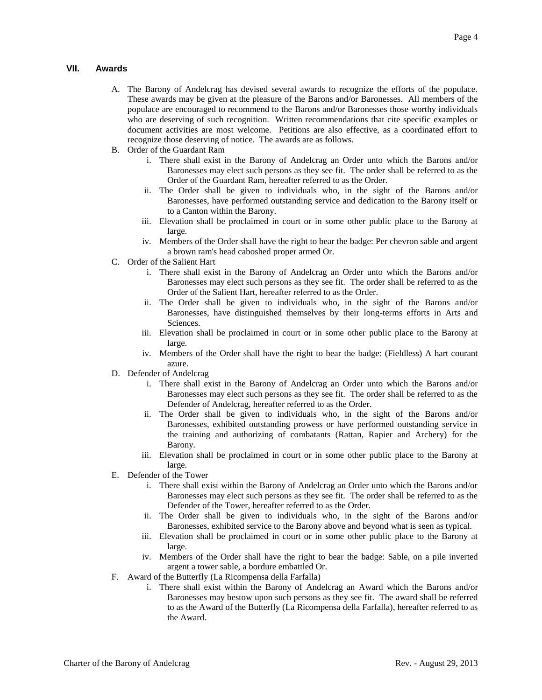## **VII. Awards**

- A. The Barony of Andelcrag has devised several awards to recognize the efforts of the populace. These awards may be given at the pleasure of the Barons and/or Baronesses. All members of the populace are encouraged to recommend to the Barons and/or Baronesses those worthy individuals who are deserving of such recognition. Written recommendations that cite specific examples or document activities are most welcome. Petitions are also effective, as a coordinated effort to recognize those deserving of notice. The awards are as follows.
- B. Order of the Guardant Ram
	- i. There shall exist in the Barony of Andelcrag an Order unto which the Barons and/or Baronesses may elect such persons as they see fit. The order shall be referred to as the Order of the Guardant Ram, hereafter referred to as the Order.
	- ii. The Order shall be given to individuals who, in the sight of the Barons and/or Baronesses, have performed outstanding service and dedication to the Barony itself or to a Canton within the Barony.
	- iii. Elevation shall be proclaimed in court or in some other public place to the Barony at large.
	- iv. Members of the Order shall have the right to bear the badge: Per chevron sable and argent a brown ram's head caboshed proper armed Or.
- C. Order of the Salient Hart
	- i. There shall exist in the Barony of Andelcrag an Order unto which the Barons and/or Baronesses may elect such persons as they see fit. The order shall be referred to as the Order of the Salient Hart, hereafter referred to as the Order.
	- ii. The Order shall be given to individuals who, in the sight of the Barons and/or Baronesses, have distinguished themselves by their long-terms efforts in Arts and Sciences.
	- iii. Elevation shall be proclaimed in court or in some other public place to the Barony at large.
	- iv. Members of the Order shall have the right to bear the badge: (Fieldless) A hart courant azure.
- D. Defender of Andelcrag
	- i. There shall exist in the Barony of Andelcrag an Order unto which the Barons and/or Baronesses may elect such persons as they see fit. The order shall be referred to as the Defender of Andelcrag, hereafter referred to as the Order.
	- ii. The Order shall be given to individuals who, in the sight of the Barons and/or Baronesses, exhibited outstanding prowess or have performed outstanding service in the training and authorizing of combatants (Rattan, Rapier and Archery) for the Barony.
	- iii. Elevation shall be proclaimed in court or in some other public place to the Barony at large.
- E. Defender of the Tower
	- i. There shall exist within the Barony of Andelcrag an Order unto which the Barons and/or Baronesses may elect such persons as they see fit. The order shall be referred to as the Defender of the Tower, hereafter referred to as the Order.
	- ii. The Order shall be given to individuals who, in the sight of the Barons and/or Baronesses, exhibited service to the Barony above and beyond what is seen as typical.
	- iii. Elevation shall be proclaimed in court or in some other public place to the Barony at large.
	- iv. Members of the Order shall have the right to bear the badge: Sable, on a pile inverted argent a tower sable, a bordure embattled Or.
- F. Award of the Butterfly (La Ricompensa della Farfalla)
	- i. There shall exist within the Barony of Andelcrag an Award which the Barons and/or Baronesses may bestow upon such persons as they see fit. The award shall be referred to as the Award of the Butterfly (La Ricompensa della Farfalla), hereafter referred to as the Award.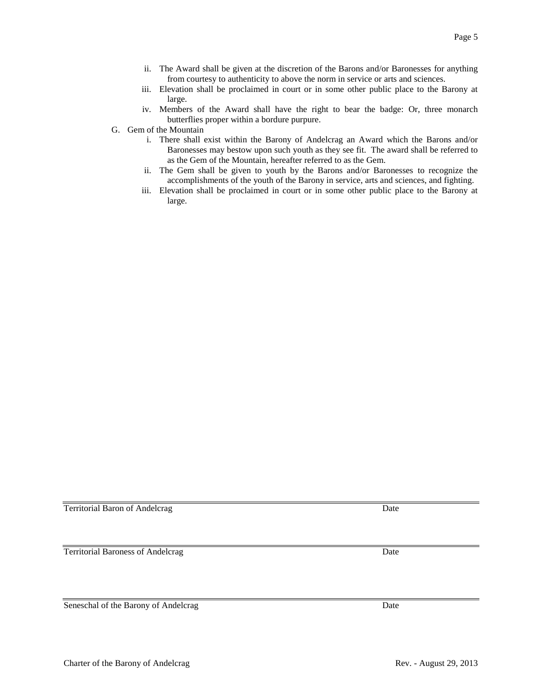- from courtesy to authenticity to above the norm in service or arts and sciences. iii. Elevation shall be proclaimed in court or in some other public place to the Barony at
	- large. iv. Members of the Award shall have the right to bear the badge: Or, three monarch butterflies proper within a bordure purpure.

ii. The Award shall be given at the discretion of the Barons and/or Baronesses for anything

- G. Gem of the Mountain
	- i. There shall exist within the Barony of Andelcrag an Award which the Barons and/or Baronesses may bestow upon such youth as they see fit. The award shall be referred to as the Gem of the Mountain, hereafter referred to as the Gem.
	- ii. The Gem shall be given to youth by the Barons and/or Baronesses to recognize the accomplishments of the youth of the Barony in service, arts and sciences, and fighting.
	- iii. Elevation shall be proclaimed in court or in some other public place to the Barony at large.

Territorial Baron of Andelcrag Date Date Date Date

Territorial Baroness of Andelcrag Date

Seneschal of the Barony of Andelcrag Date